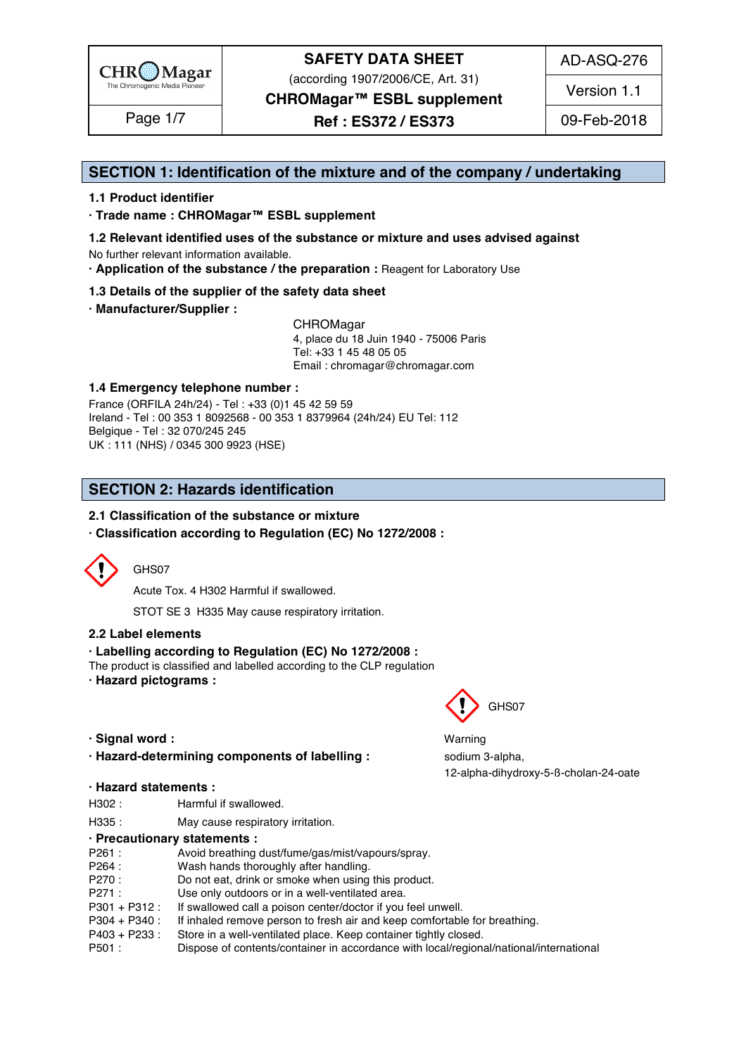

(according 1907/2006/CE, Art. 31)

AD-ASQ-276

Version 1.1

**CHROMagar™ ESBL supplement**

Page 1/7 | **Ref : ES372 / ES373** | 09-Feb-2018

### **SECTION 1: Identification of the mixture and of the company / undertaking** 1

#### **1.1 Product identifier** 2

**· Trade name : CHROMagar™ ESBL supplement** 3

- **1.2 Relevant identified uses of the substance or mixture and uses advised against** 4 No further relevant information available. 5
- **· Application of the substance / the preparation :** Reagent for Laboratory Use 6

#### **1.3 Details of the supplier of the safety data sheet** 7

**· Manufacturer/Supplier :** 8

CHROMagar 9 4, place du 18 Juin 1940 - 75006 Paris 10 Tel: +33 1 45 48 05 05 11 Email : chromagar@chromagar.com 12

#### **1.4 Emergency telephone number :** 13

France (ORFILA 24h/24) - Tel: +33 (0)1 45 42 59 59 Ireland - Tel: 00 353 1 8092568 - 00 353 1 8379964 (24h/24) EU Tel: 112 Belgique - Tel : 32 070/245 245 16 UK : 111 (NHS) / 0345 300 9923 (HSE) 17

# **SECTION 2: Hazards identification**

### **2.1 Classification of the substance or mixture**

**· Classification according to Regulation (EC) No 1272/2008 :** 22



#### GHS07 24 24 24 24 25 26 27 27 28 29 20 21 22 23 24 25 26 27 27 28 29 29 20 21 22 23 24 25 26 27 27 27 27 27 27

Acute Tox. 4 H302 Harmful if swallowed. 25

STOT SE 3 H335 May cause respiratory irritation.

#### **2.2 Label elements** 27

#### **· Labelling according to Regulation (EC) No 1272/2008 :** 28

The product is classified and labelled according to the CLP regulation

- **· Hazard pictograms :** 30
- 
- **· Hazard-determining components of labelling : sodium 3-alpha,**

#### **· Hazard statements :** 37

- H302 : Harmful if swallowed. 388 and 388 and 388 and 388 and 388 and 388 and 388 and 388 and 388 and 388 and 38
- H335 : May cause respiratory irritation. 39 and 200 minutes and 200 minutes of the May cause respiratory irritation.

|        | · Precautionary statements :                                                            |
|--------|-----------------------------------------------------------------------------------------|
| P261:  | Avoid breathing dust/fume/gas/mist/vapours/spray.                                       |
| P264 : | Wash hands thoroughly after handling.                                                   |
| P270:  | Do not eat, drink or smoke when using this product.                                     |
| P271 : | Use only outdoors or in a well-ventilated area.                                         |
|        | P301 + P312 : If swallowed call a poison center/doctor if you feel unwell.              |
|        | P304 + P340 : If inhaled remove person to fresh air and keep comfortable for breathing. |
|        | P403 + P233 : Store in a well-ventilated place. Keep container tightly closed.          |
| P501 : | Dispose of contents/container in accordance with local/regional/national/international  |
|        |                                                                                         |



**· Signal word :** Warning 34 12-alpha-dihydroxy-5-ß-cholan-24-oate 36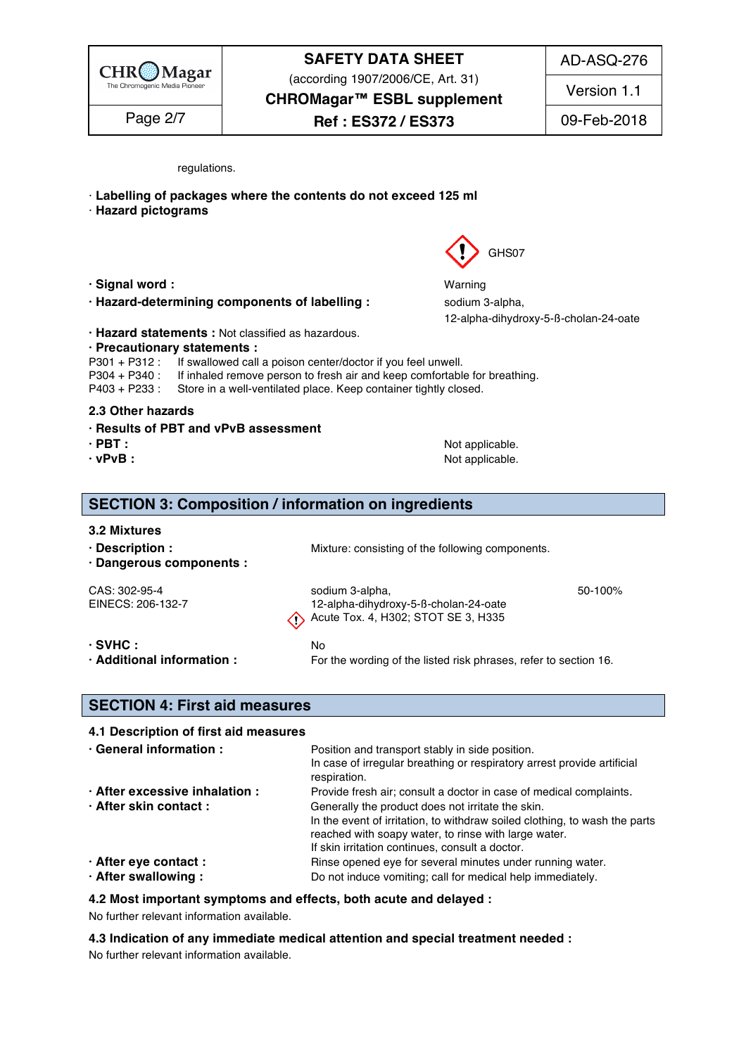

# **SAFETY DATA SHEET** (according 1907/2006/CE, Art. 31)

AD-ASQ-276

Version 1.1

**CHROMagar™ ESBL supplement**

Page 2/7  $\qquad$  **Ref** : **ES372 / ES373** 09-Feb-2018

regulations. And the contract of the contract of the contract of the contract of the contract of the contract of the contract of the contract of the contract of the contract of the contract of the contract of the contract

- · **Labelling of packages where the contents do not exceed 125 ml** 51
- · **Hazard pictograms** 52
- 
- **· Hazard-determining components of labelling : sodium 3-alpha,**
- **· Hazard statements :** Not classified as hazardous. 60
- **· Precautionary statements :** 61
- P301 + P312 : If swallowed call a poison center/doctor if you feel unwell.
- 
- P304 + P340 : If inhaled remove person to fresh air and keep comfortable for breathing.<br>P403 + P233 : Store in a well-ventilated place. Keep container tightly closed. Store in a well-ventilated place. Keep container tightly closed.

#### **2.3 Other hazards** 65

- **· Results of PBT and vPvB assessment** 66
- 
- 
- **· PBT :** Not applicable. 67 **· vPvB :** Not applicable. 68

#### **SECTION 3: Composition / information on ingredients**

| 3.2 Mixtures                                      |                                                                                                      |         |
|---------------------------------------------------|------------------------------------------------------------------------------------------------------|---------|
| $\cdot$ Description :<br>· Dangerous components : | Mixture: consisting of the following components.                                                     |         |
| CAS: 302-95-4                                     | sodium 3-alpha,                                                                                      | 50-100% |
| EINECS: 206-132-7                                 | 12-alpha-dihydroxy-5-ß-cholan-24-oate<br>$\langle \cdot \rangle$ Acute Tox. 4, H302; STOT SE 3, H335 |         |
| $\cdot$ SVHC :                                    | No.                                                                                                  |         |
| · Additional information :                        | For the wording of the listed risk phrases, refer to section 16.                                     |         |

### **SECTION 4: First aid measures** 84

#### **4.1 Description of first aid measures** 85

| · General information :        | Position and transport stably in side position.<br>In case of irregular breathing or respiratory arrest provide artificial<br>respiration. |  |  |
|--------------------------------|--------------------------------------------------------------------------------------------------------------------------------------------|--|--|
| · After excessive inhalation : | Provide fresh air; consult a doctor in case of medical complaints.                                                                         |  |  |
| · After skin contact:          | Generally the product does not irritate the skin.                                                                                          |  |  |
|                                | In the event of irritation, to withdraw soiled clothing, to wash the parts                                                                 |  |  |
|                                | reached with soapy water, to rinse with large water.                                                                                       |  |  |
|                                | If skin irritation continues, consult a doctor.                                                                                            |  |  |
| · After eye contact :          | Rinse opened eye for several minutes under running water.                                                                                  |  |  |
| · After swallowing:            | Do not induce vomiting; call for medical help immediately.                                                                                 |  |  |

**4.2 Most important symptoms and effects, both acute and delayed :** 96

No further relevant information available. 97

**4.3 Indication of any immediate medical attention and special treatment needed :** 98

No further relevant information available. 99



**· Signal word :** Warning 57 12-alpha-dihydroxy-5-ß-cholan-24-oate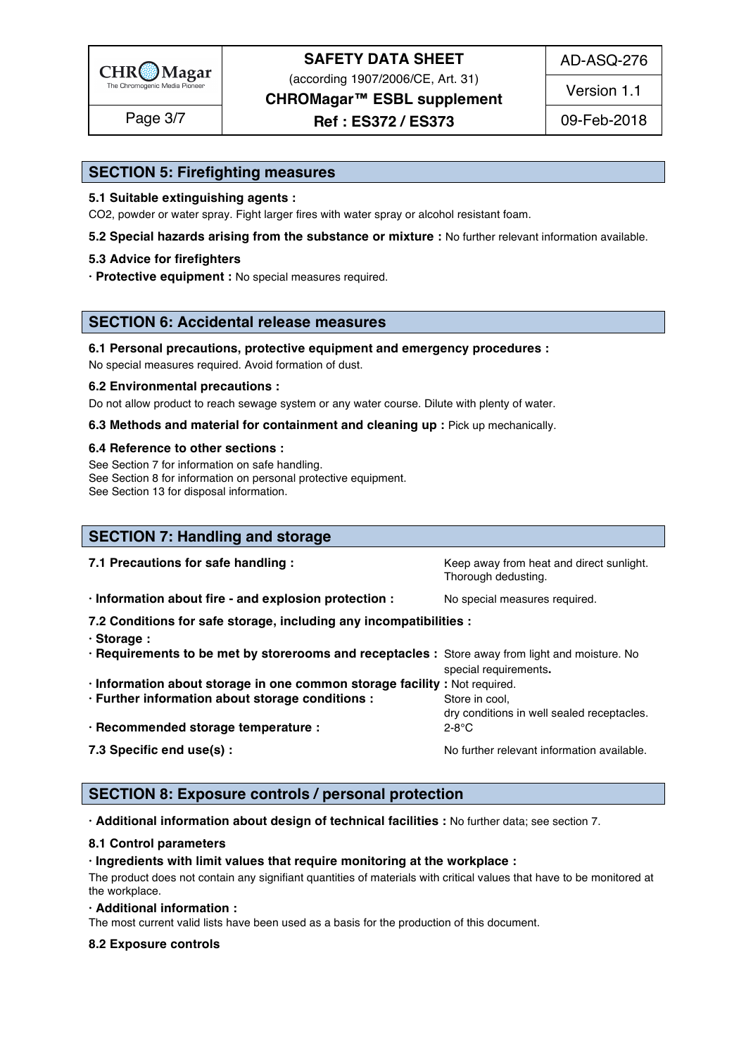

(according 1907/2006/CE, Art. 31)

AD-ASQ-276

Version 1.1

**CHROMagar™ ESBL supplement**

Page 3/7  $\begin{array}{|c|c|c|c|c|}\n\hline\n\text{Page 3/7} & \text{Ref : ES372 / ES373} & \text{09-Feb-2018}\n\hline\n\end{array}$ 

### **SECTION 5: Firefighting measures**

#### **5.1 Suitable extinguishing agents :** 101

CO2, powder or water spray. Fight larger fires with water spray or alcohol resistant foam.

**5.2 Special hazards arising from the substance or mixture :** No further relevant information available.

#### **5.3 Advice for firefighters** 104

**· Protective equipment :** No special measures required.

### **SECTION 6: Accidental release measures**

#### **6.1 Personal precautions, protective equipment and emergency procedures :** 109

No special measures required. Avoid formation of dust.

#### **6.2 Environmental precautions :** 111

Do not allow product to reach sewage system or any water course. Dilute with plenty of water.

**6.3 Methods and material for containment and cleaning up : Pick up mechanically.** 

#### **6.4 Reference to other sections :** 114

See Section 7 for information on safe handling. 115 and 115 and 115 and 115 and 115 and 115 and 115 and 115 and 115 and 115 and 115 and 115 and 115 and 115 and 115 and 115 and 115 and 115 and 115 and 115 and 115 and 115 an See Section 8 for information on personal protective equipment.

See Section 13 for disposal information. 117 and 200 minutes are all the section of the section 13 for disposal information.

| <b>SECTION 7: Handling and storage</b>                                                                                                                                              |                                                                 |
|-------------------------------------------------------------------------------------------------------------------------------------------------------------------------------------|-----------------------------------------------------------------|
| 7.1 Precautions for safe handling :                                                                                                                                                 | Keep away from heat and direct sunlight.<br>Thorough dedusting. |
| · Information about fire - and explosion protection :                                                                                                                               | No special measures required.                                   |
| 7.2 Conditions for safe storage, including any incompatibilities :<br>· Storage:<br>. Requirements to be met by storerooms and receptacles : Store away from light and moisture. No | special requirements.                                           |
| · Information about storage in one common storage facility : Not required.<br>· Further information about storage conditions :                                                      | Store in cool,                                                  |
| · Recommended storage temperature :                                                                                                                                                 | dry conditions in well sealed receptacles.<br>$2-8$ °C          |
| 7.3 Specific end use(s) :                                                                                                                                                           | No further relevant information available.                      |

### **SECTION 8: Exposure controls / personal protection**

**· Additional information about design of technical facilities :** No further data; see section 7. 136

#### **8.1 Control parameters** 137

#### **· Ingredients with limit values that require monitoring at the workplace :** 138

The product does not contain any signifiant quantities of materials with critical values that have to be monitored at  $\epsilon$  the workplace. The mass of  $\epsilon$  is a set of  $\epsilon$  is a set of  $\epsilon$  is a set of  $\epsilon$  is a set of  $\epsilon$  is a set of  $\epsilon$  is a set of  $\epsilon$  is a set of  $\epsilon$  is a set of  $\epsilon$  is a set of  $\epsilon$  is a set of  $\epsilon$  is a set of  $\$ 

#### **· Additional information :** 141

The most current valid lists have been used as a basis for the production of this document.

#### **8.2 Exposure controls** 143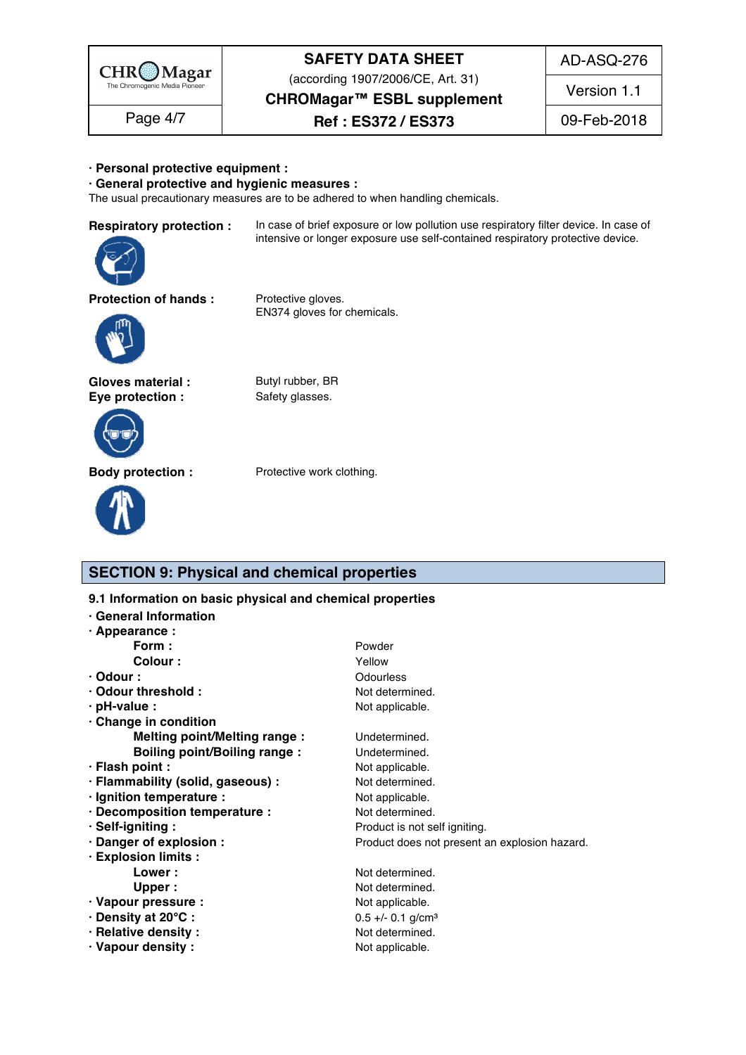

(according 1907/2006/CE, Art. 31)

AD-ASQ-276

**CHROMagar™ ESBL supplement**

Version 1.1

Page 4/7  $\qquad$  **Ref** : **ES372 / ES373** 09-Feb-2018

#### **· Personal protective equipment :** 144

**· General protective and hygienic measures :** 145

The usual precautionary measures are to be adhered to when handling chemicals.

ratory protection : In case of brief exposure or low pollution use respiratory filter device. In case of intensive or longer exposure use self-contained respiratory protective device.



EN374 gloves for chemicals.



Gloves material : Butyl rubber, BR **Eye protection :** Safety glasses.





**Body protection :** Protective work clothing.

## **SECTION 9: Physical and chemical properties**

| 9.1 Information on basic physical and chemical properties |                                               |  |  |  |  |
|-----------------------------------------------------------|-----------------------------------------------|--|--|--|--|
| · General Information                                     |                                               |  |  |  |  |
| $\cdot$ Appearance :                                      |                                               |  |  |  |  |
| Form :                                                    | Powder                                        |  |  |  |  |
| <b>Colour:</b>                                            | Yellow                                        |  |  |  |  |
| $\cdot$ Odour :                                           | Odourless                                     |  |  |  |  |
| Odour threshold:                                          | Not determined.                               |  |  |  |  |
| $\cdot$ pH-value :                                        | Not applicable.                               |  |  |  |  |
| · Change in condition                                     |                                               |  |  |  |  |
| Melting point/Melting range :                             | Undetermined.                                 |  |  |  |  |
| <b>Boiling point/Boiling range:</b>                       | Undetermined.                                 |  |  |  |  |
| · Flash point :                                           | Not applicable.                               |  |  |  |  |
| · Flammability (solid, gaseous) :                         | Not determined.                               |  |  |  |  |
| · Ignition temperature :                                  | Not applicable.                               |  |  |  |  |
| · Decomposition temperature :                             | Not determined.                               |  |  |  |  |
| · Self-igniting :                                         | Product is not self igniting.                 |  |  |  |  |
| · Danger of explosion :                                   | Product does not present an explosion hazard. |  |  |  |  |
| · Explosion limits :                                      |                                               |  |  |  |  |
| Lower:                                                    | Not determined.                               |  |  |  |  |
| Upper:                                                    | Not determined.                               |  |  |  |  |
| · Vapour pressure :                                       | Not applicable.                               |  |  |  |  |
| · Density at 20°C:                                        | $0.5 +/- 0.1$ g/cm <sup>3</sup>               |  |  |  |  |
| · Relative density:                                       | Not determined.                               |  |  |  |  |
| Vapour density:                                           | Not applicable.                               |  |  |  |  |
|                                                           |                                               |  |  |  |  |
|                                                           |                                               |  |  |  |  |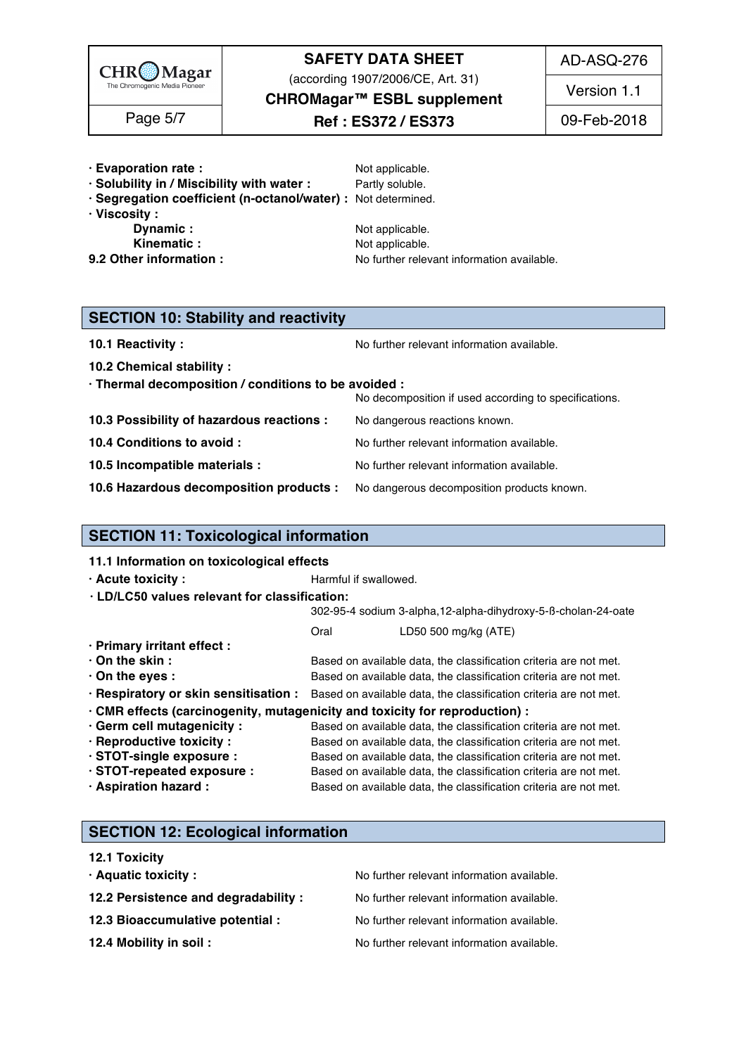

(according 1907/2006/CE, Art. 31)

**CHROMagar™ ESBL supplement**

AD-ASQ-276

Version 1.1

- Page 5/7  $\begin{array}{|c|c|c|c|c|}\n\hline\n\text{Page 5/7} & \text{B} & \text{Ref : ES372 / ES373} \\
\hline\n\end{array}$  09-Feb-2018
- **· Evaporation rate :**  $\qquad \qquad \text{Not applicable.}$
- **· Solubility in / Miscibility with water :** Partly soluble. 176
- **· Segregation coefficient (n-octanol/water) :** Not determined. 177
- -
- **9.2 Other information :** No further relevant information available.

**· Viscosity :** 178 **Dynamic :** The contract of the contract of the contract of the contract of the contract of the contract of the contract of the contract of the contract of the contract of the contract of the contract of the contract of **Kinematic :** The contract of the Motor Motor applicable. The contract of the contract of the contract of the contract of the contract of the contract of the contract of the contract of the contract of the contract of the

**SECTION 10: Stability and reactivity** 

**10.1 Reactivity :** No further relevant information available. 1864 and the set of the set of the Norther relevant information available.

**10.2 Chemical stability :** 187 **· Thermal decomposition / conditions to be avoided :** 188

| <b>THEFTING ACCOMPTED FOR A CONTRACTOR</b> TO DURING THE                           |                                                       |
|------------------------------------------------------------------------------------|-------------------------------------------------------|
|                                                                                    | No decomposition if used according to specifications. |
| 10.3 Possibility of hazardous reactions :                                          | No dangerous reactions known.                         |
| 10.4 Conditions to avoid :                                                         | No further relevant information available.            |
| 10.5 Incompatible materials :                                                      | No further relevant information available.            |
| 10.6 Hazardous decomposition products : No dangerous decomposition products known. |                                                       |

| <b>SECTION 11: Toxicological information</b>                                |                       |                                                                                                         |
|-----------------------------------------------------------------------------|-----------------------|---------------------------------------------------------------------------------------------------------|
| 11.1 Information on toxicological effects                                   |                       |                                                                                                         |
| · Acute toxicity :                                                          | Harmful if swallowed. |                                                                                                         |
| · LD/LC50 values relevant for classification:                               |                       |                                                                                                         |
|                                                                             |                       | 302-95-4 sodium 3-alpha, 12-alpha-dihydroxy-5-B-cholan-24-oate                                          |
|                                                                             | Oral                  | LD50 500 mg/kg (ATE)                                                                                    |
| · Primary irritant effect :                                                 |                       |                                                                                                         |
| $\cdot$ On the skin:                                                        |                       | Based on available data, the classification criteria are not met.                                       |
| $\cdot$ On the eyes :                                                       |                       | Based on available data, the classification criteria are not met.                                       |
|                                                                             |                       | · Respiratory or skin sensitisation : Based on available data, the classification criteria are not met. |
| · CMR effects (carcinogenity, mutagenicity and toxicity for reproduction) : |                       |                                                                                                         |
| · Germ cell mutagenicity :                                                  |                       | Based on available data, the classification criteria are not met.                                       |
| · Reproductive toxicity :                                                   |                       | Based on available data, the classification criteria are not met.                                       |
| · STOT-single exposure :                                                    |                       | Based on available data, the classification criteria are not met.                                       |
| · STOT-repeated exposure :                                                  |                       | Based on available data, the classification criteria are not met.                                       |
| · Aspiration hazard :                                                       |                       | Based on available data, the classification criteria are not met.                                       |

## **SECTION 12: Ecological information**

| <b>12.1 Toxicity</b>                 |                                            |
|--------------------------------------|--------------------------------------------|
| $\cdot$ Aquatic toxicity :           | No further relevant information available. |
| 12.2 Persistence and degradability : | No further relevant information available. |
| 12.3 Bioaccumulative potential :     | No further relevant information available. |
| 12.4 Mobility in soil:               | No further relevant information available. |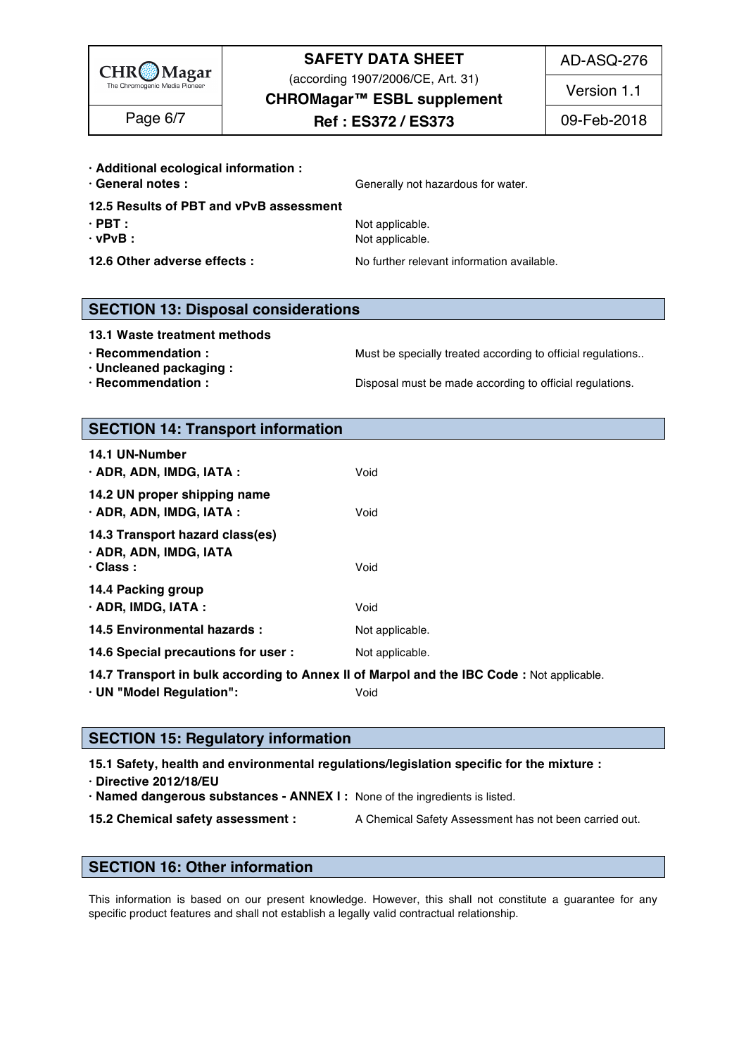

(according 1907/2006/CE, Art. 31)

AD-ASQ-276

**CHROMagar™ ESBL supplement**

**Ref : ES372 / ES373** Page 6/7 09-Feb-2018

Version 1.1

#### **· Additional ecological information :** 221

**• General notes :**  $\qquad \qquad \qquad$  Generally not hazardous for water.

- **12.5 Results of PBT and vPvB assessment** 223
- 
- **· vPvB :** Not applicable. 225
- 

**· PBT :** Not applicable. 224

**12.6 Other adverse effects :** No further relevant information available.

### **SECTION 13: Disposal considerations**

#### **13.1 Waste treatment methods** 230

- 
- **· Uncleaned packaging :** 232
- 

**· Recommendation : Must be specially treated according to official regulations..** 

**· Recommendation : Disposal must be made according to official regulations.** 

### **SECTION 14: Transport information**

| 14.2 UN proper shipping name<br>· ADR, ADN, IMDG, IATA :<br>Void<br>14.3 Transport hazard class(es)<br>· ADR, ADN, IMDG, IATA<br>$\cdot$ Class :<br>Void<br>14.4 Packing group<br>$\cdot$ ADR, IMDG, IATA :<br>Void<br>14.5 Environmental hazards :<br>Not applicable.<br>14.6 Special precautions for user :<br>Not applicable. | 14.1 UN-Number<br>· ADR, ADN, IMDG, IATA : | Void |  |  |
|----------------------------------------------------------------------------------------------------------------------------------------------------------------------------------------------------------------------------------------------------------------------------------------------------------------------------------|--------------------------------------------|------|--|--|
|                                                                                                                                                                                                                                                                                                                                  |                                            |      |  |  |
|                                                                                                                                                                                                                                                                                                                                  |                                            |      |  |  |
|                                                                                                                                                                                                                                                                                                                                  |                                            |      |  |  |
|                                                                                                                                                                                                                                                                                                                                  |                                            |      |  |  |
|                                                                                                                                                                                                                                                                                                                                  |                                            |      |  |  |

**14.7 Transport in bulk according to Annex II of Marpol and the IBC Code :** Not applicable. 248

**· UN "Model Regulation":** Void 249

### **SECTION 15: Regulatory information**

**15.1 Safety, health and environmental regulations/legislation specific for the mixture :** 253

- **· Directive 2012/18/EU** 254
- **· Named dangerous substances - ANNEX I :** None of the ingredients is listed. 255

**15.2 Chemical safety assessment :** A Chemical Safety Assessment has not been carried out.

### **SECTION 16: Other information** 259

This information is based on our present knowledge. However, this shall not constitute a quarantee for any specific product features and shall not establish a legally valid contractual relationship.